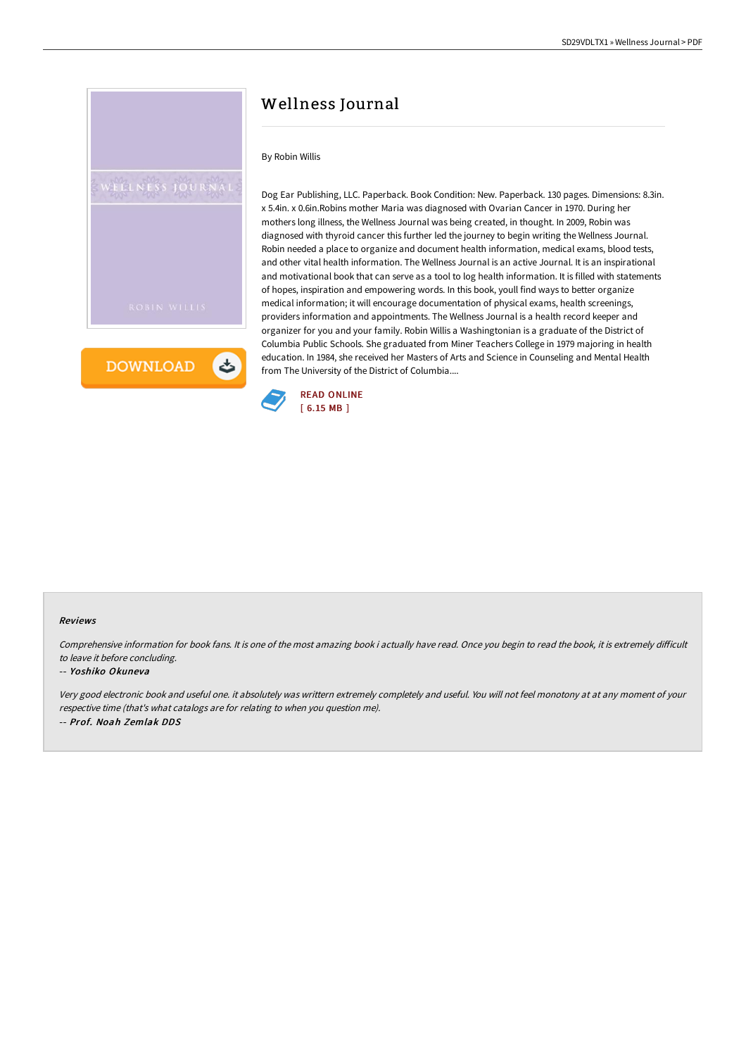

**DOWNLOAD** と

# Wellness Journal

### By Robin Willis

Dog Ear Publishing, LLC. Paperback. Book Condition: New. Paperback. 130 pages. Dimensions: 8.3in. x 5.4in. x 0.6in.Robins mother Maria was diagnosed with Ovarian Cancer in 1970. During her mothers long illness, the Wellness Journal was being created, in thought. In 2009, Robin was diagnosed with thyroid cancer this further led the journey to begin writing the Wellness Journal. Robin needed a place to organize and document health information, medical exams, blood tests, and other vital health information. The Wellness Journal is an active Journal. It is an inspirational and motivational book that can serve as a tool to log health information. It is filled with statements of hopes, inspiration and empowering words. In this book, youll find ways to better organize medical information; it will encourage documentation of physical exams, health screenings, providers information and appointments. The Wellness Journal is a health record keeper and organizer for you and your family. Robin Willis a Washingtonian is a graduate of the District of Columbia Public Schools. She graduated from Miner Teachers College in 1979 majoring in health education. In 1984, she received her Masters of Arts and Science in Counseling and Mental Health from The University of the District of Columbia....



#### Reviews

Comprehensive information for book fans. It is one of the most amazing book i actually have read. Once you begin to read the book, it is extremely difficult to leave it before concluding.

#### -- Yoshiko Okuneva

Very good electronic book and useful one. it absolutely was writtern extremely completely and useful. You will not feel monotony at at any moment of your respective time (that's what catalogs are for relating to when you question me). -- Prof. Noah Zemlak DDS